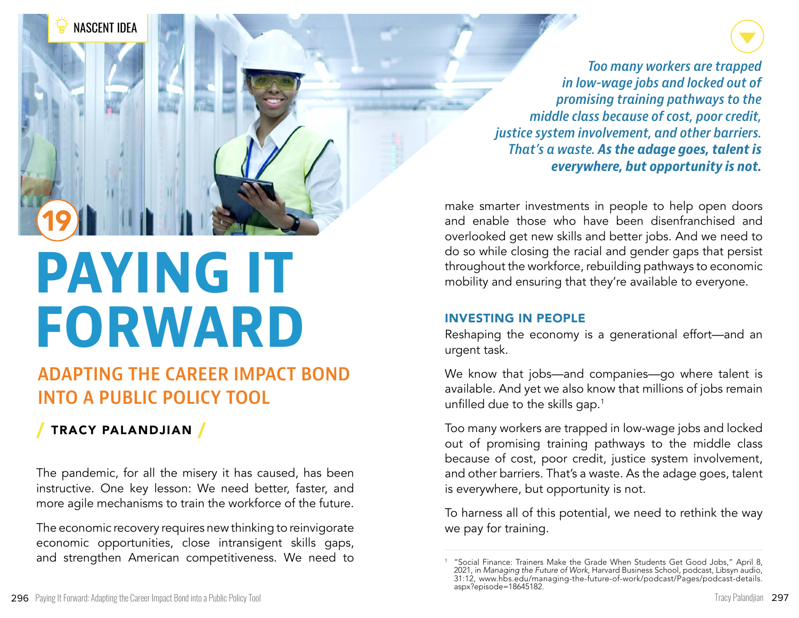

# **PAYING IT FORWARD**

## **ADAPTING THE CAREER IMPACT BOND INTO A PUBLIC POLICY TOOL**

### / TRACY PALANDJIAN /

The pandemic, for all the misery it has caused, has been instructive. One key lesson: We need better, faster, and more agile mechanisms to train the workforce of the future.

The economic recovery requires new thinking to reinvigorate economic opportunities, close intransigent skills gaps, and strengthen American competitiveness. We need to

*Too many workers are trapped in low-wage jobs and locked out of promising training pathways to the middle class because of cost, poor credit, justice system involvement, and other barriers. That's a waste. As the adage goes, talent is everywhere, but opportunity is not.* 

make smarter investments in people to help open doors and enable those who have been disenfranchised and overlooked get new skills and better jobs. And we need to do so while closing the racial and gender gaps that persist throughout the workforce, rebuilding pathways to economic mobility and ensuring that they're available to everyone.

#### INVESTING IN PEOPLE

Reshaping the economy is a generational effort—and an urgent task.

We know that jobs—and companies—go where talent is available. And yet we also know that millions of jobs remain unfilled due to the skills gap.<sup>1</sup>

Too many workers are trapped in low-wage jobs and locked out of promising training pathways to the middle class because of cost, poor credit, justice system involvement, and other barriers. That's a waste. As the adage goes, talent is everywhere, but opportunity is not.

To harness all of this potential, we need to rethink the way we pay for training.

<sup>1</sup> "Social Finance: Trainers Make the Grade When Students Get Good Jobs," April 8, 2021, in *Managing the Future of Work*, Harvard Business School, podcast, Libsyn audio, 31:12, www.hbs.edu/managing-the-future-of-work/podcast/Pages/podcast-details. aspx?episode=18645182.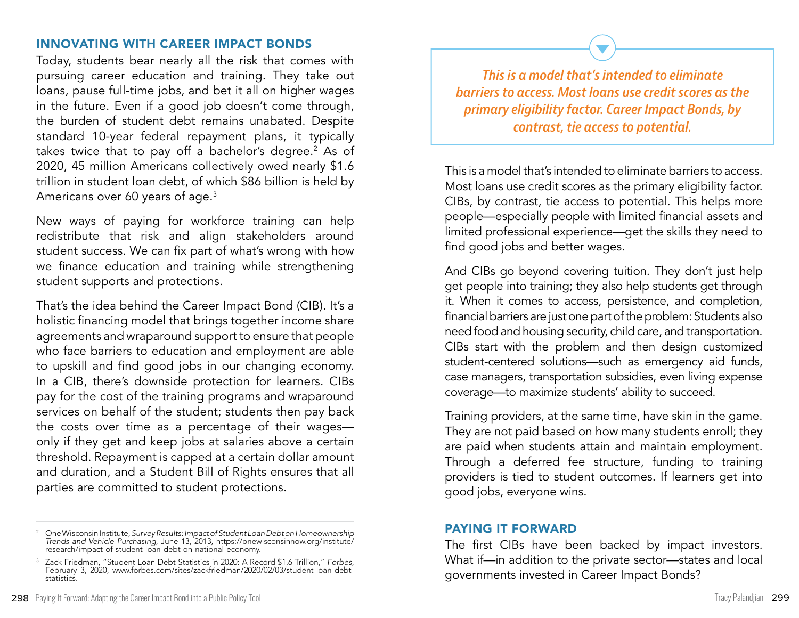#### INNOVATING WITH CAREER IMPACT BONDS

Today, students bear nearly all the risk that comes with pursuing career education and training. They take out loans, pause full-time jobs, and bet it all on higher wages in the future. Even if a good job doesn't come through, the burden of student debt remains unabated. Despite standard 10-year federal repayment plans, it typically takes twice that to pay off a bachelor's degree.<sup>2</sup> As of 2020, 45 million Americans collectively owed nearly \$1.6 trillion in student loan debt, of which \$86 billion is held by Americans over 60 years of age.3

New ways of paying for workforce training can help redistribute that risk and align stakeholders around student success. We can fix part of what's wrong with how we finance education and training while strengthening student supports and protections.

That's the idea behind the Career Impact Bond (CIB). It's a holistic financing model that brings together income share agreements and wraparound support to ensure that people who face barriers to education and employment are able to upskill and find good jobs in our changing economy. In a CIB, there's downside protection for learners. CIBs pay for the cost of the training programs and wraparound services on behalf of the student; students then pay back the costs over time as a percentage of their wages only if they get and keep jobs at salaries above a certain threshold. Repayment is capped at a certain dollar amount and duration, and a Student Bill of Rights ensures that all parties are committed to student protections.

*This is a model that's intended to eliminate barriers to access. Most loans use credit scores as the primary eligibility factor. Career Impact Bonds, by contrast, tie access to potential.* 

This is a model that's intended to eliminate barriers to access. Most loans use credit scores as the primary eligibility factor. CIBs, by contrast, tie access to potential. This helps more people—especially people with limited financial assets and limited professional experience—get the skills they need to find good jobs and better wages.

And CIBs go beyond covering tuition. They don't just help get people into training; they also help students get through it. When it comes to access, persistence, and completion, financial barriers are just one part of the problem: Students also need food and housing security, child care, and transportation. CIBs start with the problem and then design customized student-centered solutions—such as emergency aid funds, case managers, transportation subsidies, even living expense coverage—to maximize students' ability to succeed.

Training providers, at the same time, have skin in the game. They are not paid based on how many students enroll; they are paid when students attain and maintain employment. Through a deferred fee structure, funding to training providers is tied to student outcomes. If learners get into good jobs, everyone wins.

#### PAYING IT FORWARD

The first CIBs have been backed by impact investors. What if—in addition to the private sector—states and local governments invested in Career Impact Bonds?

<sup>2</sup> One Wisconsin Institute, *Survey Results: Impact of Student Loan Debt on Homeownership Trends and Vehicle Purchasing*, June 13, 2013, https://onewisconsinnow.org/institute/ research/impact-of-student-loan-debt-on-national-economy.

<sup>3</sup> Zack Friedman, "Student Loan Debt Statistics in 2020: A Record \$1.6 Trillion," *Forbes*, February 3, 2020, www.forbes.com/sites/zackfriedman/2020/02/03/student-loan-debtstatistics.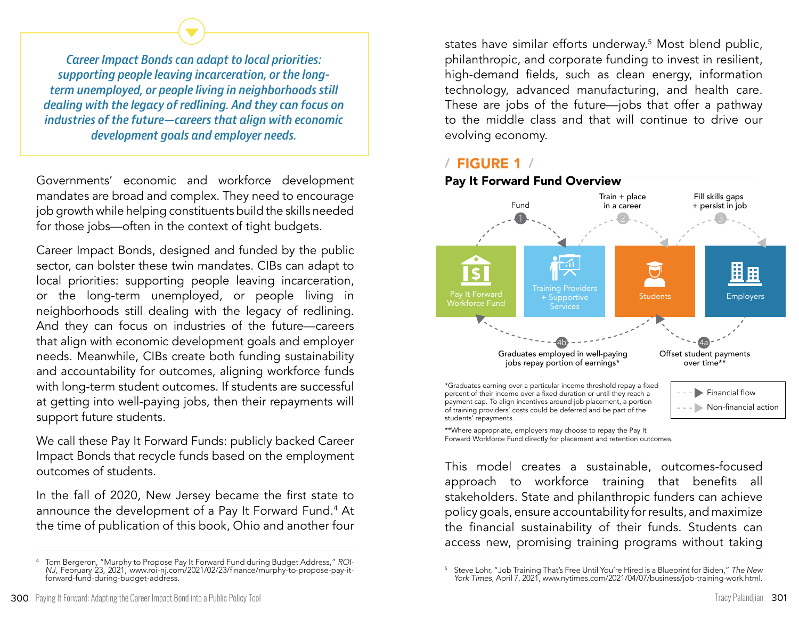*Career Impact Bonds can adapt to local priorities: supporting people leaving incarceration, or the longterm unemployed, or people living in neighborhoods still dealing with the legacy of redlining. And they can focus on industries of the future—careers that align with economic development goals and employer needs.* 

Governments' economic and workforce development mandates are broad and complex. They need to encourage job growth while helping constituents build the skills needed for those jobs—often in the context of tight budgets.

Career Impact Bonds, designed and funded by the public sector, can bolster these twin mandates. CIBs can adapt to local priorities: supporting people leaving incarceration, or the long-term unemployed, or people living in neighborhoods still dealing with the legacy of redlining. And they can focus on industries of the future—careers that align with economic development goals and employer needs. Meanwhile, CIBs create both funding sustainability and accountability for outcomes, aligning workforce funds with long-term student outcomes. If students are successful at getting into well-paying jobs, then their repayments will support future students.

We call these Pay It Forward Funds: publicly backed Career Impact Bonds that recycle funds based on the employment outcomes of students.

In the fall of 2020, New Jersey became the first state to announce the development of a Pay It Forward Fund.4 At the time of publication of this book, Ohio and another four

states have similar efforts underway.5 Most blend public, philanthropic, and corporate funding to invest in resilient, high-demand fields, such as clean energy, information technology, advanced manufacturing, and health care. These are jobs of the future—jobs that offer a pathway to the middle class and that will continue to drive our evolving economy.

#### / FIGURE 1 /

Pay It Forward Fund Overview



\*\*Where appropriate, employers may choose to repay the Pay It Forward Workforce Fund directly for placement and retention outcomes.

This model creates a sustainable, outcomes-focused approach to workforce training that benefits all stakeholders. State and philanthropic funders can achieve policy goals, ensure accountability for results, and maximize the financial sustainability of their funds. Students can access new, promising training programs without taking

<sup>4</sup> Tom Bergeron, "Murphy to Propose Pay It Forward Fund during Budget Address," *ROI-NJ*, February 23, 2021, www.roi-nj.com/2021/02/23/finance/murphy-to-propose-pay-itforward-fund-during-budget-address.

<sup>5</sup> Steve Lohr, "Job Training That's Free Until You're Hired is a Blueprint for Biden," *The New York Times*, April 7, 2021, www.nytimes.com/2021/04/07/business/job-training-work.html.